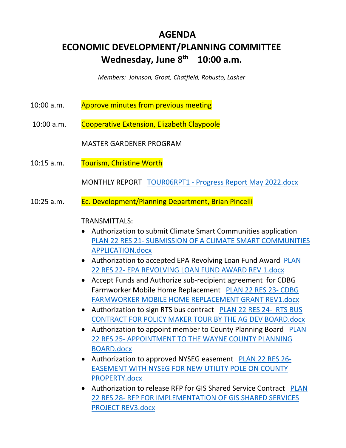# **AGENDA ECONOMIC DEVELOPMENT/PLANNING COMMITTEE Wednesday, June 8th 10:00 a.m.**

*Members: Johnson, Groat, Chatfield, Robusto, Lasher* 

- 10:00 a.m. Approve minutes from previous meeting
- 10:00 a.m. Cooperative Extension, Elizabeth Claypoole

MASTER GARDENER PROGRAM

10:15 a.m. Tourism, Christine Worth

MONTHLY REPORT TOUR06RPT1 - Progress Report May 2022.docx

10:25 a.m. Ec. Development/Planning Department, Brian Pincelli

# TRANSMITTALS:

- Authorization to submit Climate Smart Communities application PLAN 22 RES 21- SUBMISSION OF A CLIMATE SMART COMMUNITIES APPLICATION.docx
- Authorization to accepted EPA Revolving Loan Fund Award PLAN 22 RES 22- EPA REVOLVING LOAN FUND AWARD REV 1.docx
- Accept Funds and Authorize sub-recipient agreement for CDBG Farmworker Mobile Home Replacement PLAN 22 RES 23- CDBG FARMWORKER MOBILE HOME REPLACEMENT GRANT REV1.docx
- Authorization to sign RTS bus contract PLAN 22 RES 24-RTS BUS CONTRACT FOR POLICY MAKER TOUR BY THE AG DEV BOARD.docx
- Authorization to appoint member to County Planning Board PLAN 22 RES 25- APPOINTMENT TO THE WAYNE COUNTY PLANNING BOARD.docx
- Authorization to approved NYSEG easement PLAN 22 RES 26-EASEMENT WITH NYSEG FOR NEW UTILITY POLE ON COUNTY PROPERTY.docx
- Authorization to release RFP for GIS Shared Service Contract PLAN 22 RES 28- RFP FOR IMPLEMENTATION OF GIS SHARED SERVICES PROJECT REV3.docx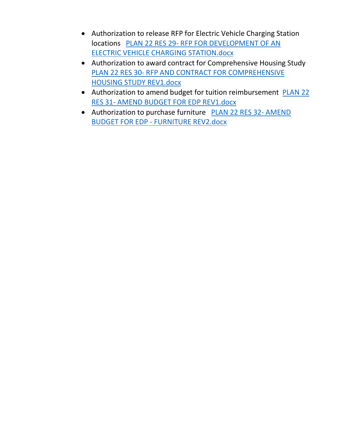- Authorization to release RFP for Electric Vehicle Charging Station locations PLAN 22 RES 29- RFP FOR DEVELOPMENT OF AN ELECTRIC VEHICLE CHARGING STATION.docx
- Authorization to award contract for Comprehensive Housing Study PLAN 22 RES 30- RFP AND CONTRACT FOR COMPREHENSIVE HOUSING STUDY REV1.docx
- Authorization to amend budget for tuition reimbursement PLAN 22 RES 31- AMEND BUDGET FOR EDP REV1.docx
- Authorization to purchase furniture PLAN 22 RES 32- AMEND BUDGET FOR EDP - FURNITURE REV2.docx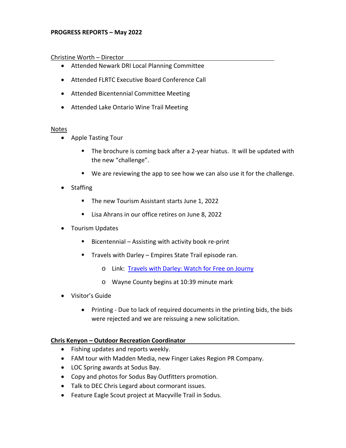# **PROGRESS REPORTS – May 2022**

# Christine Worth – Director

- Attended Newark DRI Local Planning Committee
- Attended FLRTC Executive Board Conference Call
- Attended Bicentennial Committee Meeting
- Attended Lake Ontario Wine Trail Meeting

# Notes

- Apple Tasting Tour
	- The brochure is coming back after a 2-year hiatus. It will be updated with the new "challenge".
	- We are reviewing the app to see how we can also use it for the challenge.
- Staffing
	- The new Tourism Assistant starts June 1, 2022
	- **Lisa Ahrans in our office retires on June 8, 2022**
- Tourism Updates
	- $\blacksquare$  Bicentennial Assisting with activity book re-print
	- **Travels with Darley Empires State Trail episode ran.** 
		- o Link: [Travels with Darley: Watch for Free on Journy](https://journy.tv/watch/travels-with-darley/new-yorks-empire-state-trail/)
		- o Wayne County begins at 10:39 minute mark
- Visitor's Guide
	- Printing Due to lack of required documents in the printing bids, the bids were rejected and we are reissuing a new solicitation.

# **Chris Kenyon – Outdoor Recreation Coordinator**

- Fishing updates and reports weekly.
- FAM tour with Madden Media, new Finger Lakes Region PR Company.
- LOC Spring awards at Sodus Bay.
- Copy and photos for Sodus Bay Outfitters promotion.
- Talk to DEC Chris Legard about cormorant issues.
- Feature Eagle Scout project at Macyville Trail in Sodus.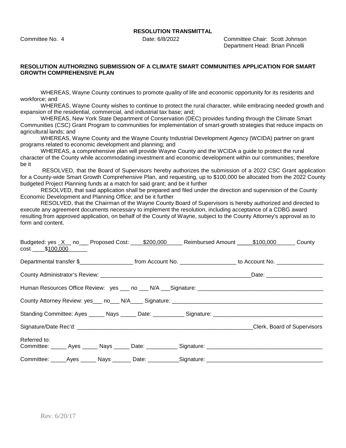Committee No. 4 Date: 6/8/2022 Committee Chair: Scott Johnson Department Head: Brian Pincelli

### **RESOLUTION AUTHORIZING SUBMISSION OF A CLIMATE SMART COMMUNITIES APPLICATION FOR SMART GROWTH COMPREHENSIVE PLAN**

WHEREAS, Wayne County continues to promote quality of life and economic opportunity for its residents and workforce; and

WHEREAS, Wayne County wishes to continue to protect the rural character, while embracing needed growth and expansion of the residential, commercial, and industrial tax base; and;

WHEREAS, New York State Department of Conservation (DEC) provides funding through the Climate Smart Communities (CSC) Grant Program to communities for implementation of smart-growth strategies that reduce impacts on agricultural lands; and

WHEREAS, Wayne County and the Wayne County Industrial Development Agency (WCIDA) partner on grant programs related to economic development and planning; and

WHEREAS, a comprehensive plan will provide Wayne County and the WCIDA a guide to protect the rural character of the County while accommodating investment and economic development within our communities; therefore be it

 RESOLVED, that the Board of Supervisors hereby authorizes the submission of a 2022 CSC Grant application for a County-wide Smart Growth Comprehensive Plan, and requesting, up to \$100,000 be allocated from the 2022 County budgeted Project Planning funds at a match for said grant; and be it further

RESOLVED, that said application shall be prepared and filed under the direction and supervision of the County Economic Development and Planning Office; and be it further

RESOLVED, that the Chairman of the Wayne County Board of Supervisors is hereby authorized and directed to execute any agreement documents necessary to implement the resolution, including acceptance of a CDBG award resulting from approved application, on behalf of the County of Wayne, subject to the County Attorney's approval as to form and content.

| $cost$ \$100,000 |  |  | Budgeted: yes X no Proposed Cost: 5200,000 Reimbursed Amount 16100,000 County                                                            |  |
|------------------|--|--|------------------------------------------------------------------------------------------------------------------------------------------|--|
|                  |  |  | Departmental transfer \$________________________________from Account No. ____________________________ to Account No. ___________________ |  |
|                  |  |  |                                                                                                                                          |  |
|                  |  |  |                                                                                                                                          |  |
|                  |  |  |                                                                                                                                          |  |
|                  |  |  |                                                                                                                                          |  |
|                  |  |  | Clerk, Board of Supervisors                                                                                                              |  |
| Referred to:     |  |  | Committee: ______ Ayes ______ Nays ______ Date: ___________ Signature: _____________________________                                     |  |
|                  |  |  | Committee: ______Ayes ______ Nays _______ Date: ___________Signature: ______________________________                                     |  |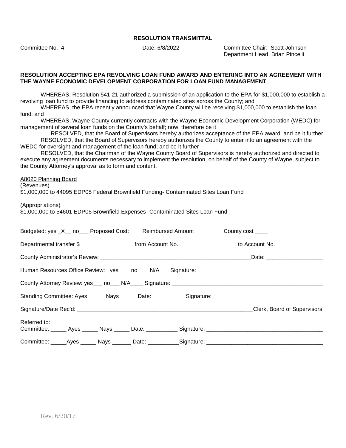Committee No. 4 Date: 6/8/2022 Committee Chair: Scott Johnson Department Head: Brian Pincelli

#### **RESOLUTION ACCEPTING EPA REVOLVING LOAN FUND AWARD AND ENTERING INTO AN AGREEMENT WITH THE WAYNE ECONOMIC DEVELOPMENT CORPORATION FOR LOAN FUND MANAGEMENT**

WHEREAS, Resolution 541-21 authorized a submission of an application to the EPA for \$1,000,000 to establish a revolving loan fund to provide financing to address contaminated sites across the County; and

WHEREAS, the EPA recently announced that Wayne County will be receiving \$1,000,000 to establish the loan fund; and

WHEREAS, Wayne County currently contracts with the Wayne Economic Development Corporation (WEDC) for management of several loan funds on the County's behalf; now, therefore be it

RESOLVED, that the Board of Supervisors hereby authorizes acceptance of the EPA award; and be it further RESOLVED, that the Board of Supervisors hereby authorizes the County to enter into an agreement with the WEDC for oversight and management of the loan fund; and be it further

RESOLVED, that the Chairman of the Wayne County Board of Supervisors is hereby authorized and directed to execute any agreement documents necessary to implement the resolution, on behalf of the County of Wayne, subject to the County Attorney's approval as to form and content.

#### A8020 Planning Board

(Revenues)

\$1,000,000 to 44095 EDP05 Federal Brownfield Funding- Contaminated Sites Loan Fund

(Appropriations)

\$1,000,000 to 54601 EDP05 Brownfield Expenses- Contaminated Sites Loan Fund

| Budgeted: yes X _ no__ Proposed Cost: Reimbursed Amount ________ County cost ___ |  |  |                                                                                                      |
|----------------------------------------------------------------------------------|--|--|------------------------------------------------------------------------------------------------------|
|                                                                                  |  |  |                                                                                                      |
|                                                                                  |  |  |                                                                                                      |
|                                                                                  |  |  | Human Resources Office Review: yes ___ no ___ N/A ___ Signature: ___________________________________ |
|                                                                                  |  |  |                                                                                                      |
|                                                                                  |  |  |                                                                                                      |
|                                                                                  |  |  | Clerk, Board of Supervisors                                                                          |
| Referred to:                                                                     |  |  | Committee: _____ Ayes _____ Nays _____ Date: __________ Signature: _________________________________ |
|                                                                                  |  |  | Committee: _____Ayes ______ Nays _______ Date: ___________Signature: ______________________________  |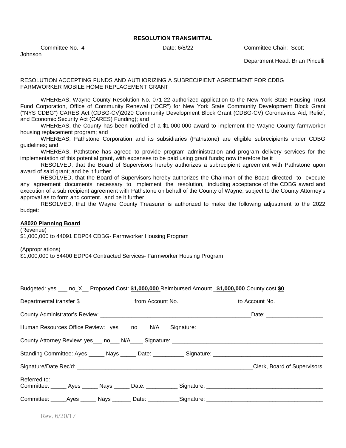Johnson

Committee No. 4 Date: 6/8/22 Committee Chair: Scott

Department Head: Brian Pincelli

### RESOLUTION ACCEPTING FUNDS AND AUTHORIZING A SUBRECIPIENT AGREEMENT FOR CDBG FARMWORKER MOBILE HOME REPLACEMENT GRANT

WHEREAS, Wayne County Resolution No. 071-22 authorized application to the New York State Housing Trust Fund Corporation, Office of Community Renewal ("OCR") for New York State Community Development Block Grant ("NYS CDBG") CARES Act (CDBG-CV)2020 Community Development Block Grant (CDBG-CV) Coronavirus Aid, Relief, and Economic Security Act (CARES) Funding); and

WHEREAS, the County has been notified of a \$1,000,000 award to implement the Wayne County farmworker housing replacement program; and

WHEREAS, Pathstone Corporation and its subsidiaries (Pathstone) are eligible subrecipients under CDBG guidelines; and

WHEREAS, Pathstone has agreed to provide program administration and program delivery services for the implementation of this potential grant, with expenses to be paid using grant funds; now therefore be it

RESOLVED, that the Board of Supervisors hereby authorizes a subrecipient agreement with Pathstone upon award of said grant; and be it further

RESOLVED, that the Board of Supervisors hereby authorizes the Chairman of the Board directed to execute any agreement documents necessary to implement the resolution, including acceptance of the CDBG award and execution of a sub recipient agreement with Pathstone on behalf of the County of Wayne, subject to the County Attorney's approval as to form and content. and be it further

RESOLVED, that the Wayne County Treasurer is authorized to make the following adjustment to the 2022 budget:

#### **A8020 Planning Board**

(Revenue)

\$1,000,000 to 44091 EDP04 CDBG- Farmworker Housing Program

(Appropriations)

\$1,000,000 to 54400 EDP04 Contracted Services- Farmworker Housing Program

| Budgeted: yes ___ no_X__ Proposed Cost: \$1,000,000 Reimbursed Amount \$1,000,000 County cost \$0                     |  |  |                                                                                                      |
|-----------------------------------------------------------------------------------------------------------------------|--|--|------------------------------------------------------------------------------------------------------|
| Departmental transfer \$________________________ from Account No. ____________________ to Account No. _______________ |  |  |                                                                                                      |
|                                                                                                                       |  |  |                                                                                                      |
|                                                                                                                       |  |  | Human Resources Office Review: yes ___ no ___ N/A ___ Signature: ___________________________________ |
|                                                                                                                       |  |  |                                                                                                      |
|                                                                                                                       |  |  |                                                                                                      |
|                                                                                                                       |  |  | Clerk, Board of Supervisors                                                                          |
| Referred to:                                                                                                          |  |  |                                                                                                      |
|                                                                                                                       |  |  |                                                                                                      |

Rev. 6/20/17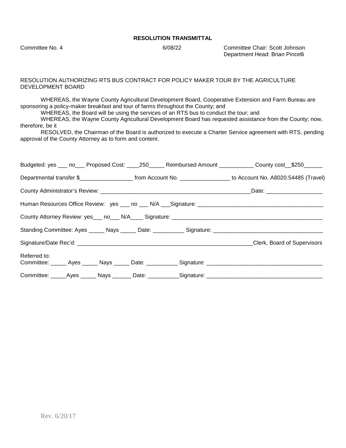Committee No. 4 6/08/22 Committee Chair: Scott Johnson Department Head: Brian Pincelli

#### RESOLUTION AUTHORIZING RTS BUS CONTRACT FOR POLICY MAKER TOUR BY THE AGRICULTURE DEVELOPMENT BOARD

WHEREAS, the Wayne County Agricultural Development Board, Cooperative Extension and Farm Bureau are sponsoring a policy-maker breakfast and tour of farms throughout the County; and

WHEREAS, the Board will be using the services of an RTS bus to conduct the tour; and

WHEREAS, the Wayne County Agricultural Development Board has requested assistance from the County; now, therefore, be it

RESOLVED, the Chairman of the Board is authorized to execute a Charter Service agreement with RTS, pending approval of the County Attorney as to form and content.

| Budgeted: yes ___ no___ Proposed Cost: ____250_____ Reimbursed Amount ___________ County cost__\$250______                   |  |                             |
|------------------------------------------------------------------------------------------------------------------------------|--|-----------------------------|
| Departmental transfer \$__________________________ from Account No. ____________________ to Account No. A8020.54485 (Travel) |  |                             |
|                                                                                                                              |  | _Date: ____________________ |
|                                                                                                                              |  |                             |
|                                                                                                                              |  |                             |
|                                                                                                                              |  |                             |
|                                                                                                                              |  |                             |
| Referred to:                                                                                                                 |  |                             |
|                                                                                                                              |  |                             |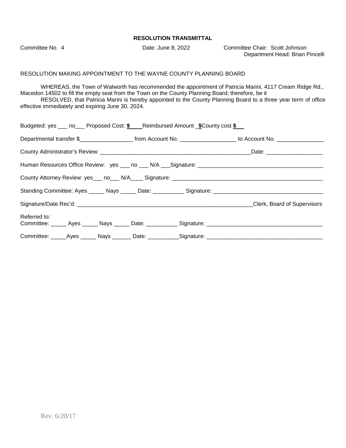Committee No. 4 Date: June 8, 2022 Committee Chair: Scott Johnson Department Head: Brian Pincelli

#### RESOLUTION MAKING APPOINTMENT TO THE WAYNE COUNTY PLANNING BOARD

WHEREAS, the Town of Walworth has recommended the appointment of Patricia Marini, 4117 Cream Ridge Rd., Macedon 14502 to fill the empty seat from the Town on the County Planning Board; therefore, be it RESOLVED, that Patricia Marini is hereby appointed to the County Planning Board to a three year term of office effective immediately and expiring June 30, 2024.

| Budgeted: yes ___ no___ Proposed Cost: \$ Reimbursed Amount _\$County cost \$                                        |  |  |
|----------------------------------------------------------------------------------------------------------------------|--|--|
|                                                                                                                      |  |  |
|                                                                                                                      |  |  |
|                                                                                                                      |  |  |
|                                                                                                                      |  |  |
|                                                                                                                      |  |  |
|                                                                                                                      |  |  |
| Referred to:<br>Committee: ______ Ayes ______ Nays ______ Date: ___________ Signature: _____________________________ |  |  |
| Committee: _____Ayes ______ Nays _______ Date: ___________Signature: _______________________________                 |  |  |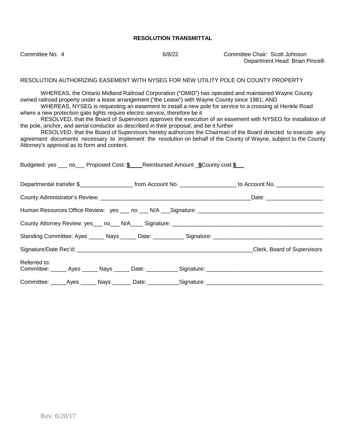Committee No. 4 6/8/22 Committee Chair: Scott Johnson Department Head: Brian Pincelli

#### RESOLUTION AUTHORIZING EASEMENT WITH NYSEG FOR NEW UTILITY POLE ON COUNTY PROPERTY

WHEREAS, the Ontario Midland Railroad Corporation ("OMID") has operated and maintained Wayne County owned railroad property under a lease arrangement ("the Lease") with Wayne County since 1981; AND

WHEREAS, NYSEG is requesting an easement to install a new pole for service to a crossing at Henkle Road where a new protection gate lights require electric service, therefore be it

RESOLVED, that the Board of Supervisors approves the execution of an easement with NYSEG for installation of the pole, anchor, and aerial conductor as described in their proposal; and be it further

RESOLVED, that the Board of Supervisors hereby authorizes the Chairman of the Board directed to execute any agreement documents necessary to implement the resolution on behalf of the County of Wayne, subject to the County Attorney's approval as to form and content.

| Budgeted: yes ___ no___ Proposed Cost: \$ ___Reimbursed Amount _\$County cost \$                    |  |                                                                                                                                         |
|-----------------------------------------------------------------------------------------------------|--|-----------------------------------------------------------------------------------------------------------------------------------------|
|                                                                                                     |  | Departmental transfer \$________________________________from Account No. ____________________________ to Account No. __________________ |
|                                                                                                     |  |                                                                                                                                         |
|                                                                                                     |  |                                                                                                                                         |
|                                                                                                     |  |                                                                                                                                         |
|                                                                                                     |  |                                                                                                                                         |
|                                                                                                     |  | Clerk, Board of Supervisors                                                                                                             |
| Referred to:                                                                                        |  |                                                                                                                                         |
| Committee: _____Ayes ______ Nays _______ Date: ___________Signature: ______________________________ |  |                                                                                                                                         |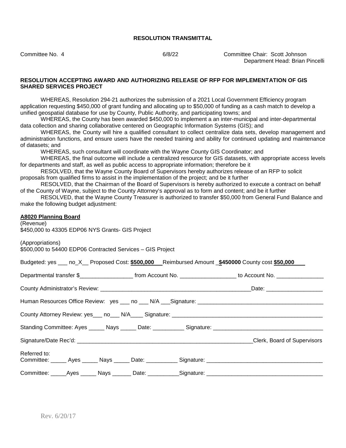Committee No. 4 6/8/22 Committee Chair: Scott Johnson Department Head: Brian Pincelli

#### **RESOLUTION ACCEPTING AWARD AND AUTHORIZING RELEASE OF RFP FOR IMPLEMENTATION OF GIS SHARED SERVICES PROJECT**

WHEREAS, Resolution 294-21 authorizes the submission of a 2021 Local Government Efficiency program application requesting \$450,000 of grant funding and allocating up to \$50,000 of funding as a cash match to develop a unified geospatial database for use by County, Public Authority, and participating towns; and

WHEREAS, the County has been awarded \$450,000 to implement a an inter-municipal and inter-departmental data collection and sharing collaborative centered on Geographic Information Systems (GIS); and

WHEREAS, the County will hire a qualified consultant to collect centralize data sets, develop management and administration functions, and ensure users have the needed training and ability for continued updating and maintenance of datasets; and

WHEREAS, such consultant will coordinate with the Wayne County GIS Coordinator; and

WHEREAS, the final outcome will include a centralized resource for GIS datasets, with appropriate access levels for departments and staff, as well as public access to appropriate information; therefore be it

RESOLVED, that the Wayne County Board of Supervisors hereby authorizes release of an RFP to solicit proposals from qualified firms to assist in the implementation of the project; and be it further

RESOLVED, that the Chairman of the Board of Supervisors is hereby authorized to execute a contract on behalf of the County of Wayne, subject to the County Attorney's approval as to form and content; and be it further

RESOLVED, that the Wayne County Treasurer is authorized to transfer \$50,000 from General Fund Balance and make the following budget adjustment:

#### **A8020 Planning Board**

(Revenue) \$450,000 to 43305 EDP06 NYS Grants- GIS Project

(Appropriations) \$500,000 to 54400 EDP06 Contracted Services – GIS Project

|              |  |  |                                                                                                     | Budgeted: yes ___ no_X__ Proposed Cost: \$500,000 __ Reimbursed Amount _\$450000 County cost \$50,000                                   |
|--------------|--|--|-----------------------------------------------------------------------------------------------------|-----------------------------------------------------------------------------------------------------------------------------------------|
|              |  |  |                                                                                                     | Departmental transfer \$________________________________from Account No. ____________________________ to Account No. __________________ |
|              |  |  |                                                                                                     |                                                                                                                                         |
|              |  |  |                                                                                                     |                                                                                                                                         |
|              |  |  |                                                                                                     |                                                                                                                                         |
|              |  |  |                                                                                                     |                                                                                                                                         |
|              |  |  |                                                                                                     | Clerk, Board of Supervisors                                                                                                             |
| Referred to: |  |  |                                                                                                     | Committee: ______ Ayes ______ Nays ______ Date: ___________ Signature: _____________________________                                    |
|              |  |  | Committee: ______Ayes ______ Nays _______ Date: ___________Signature: _____________________________ |                                                                                                                                         |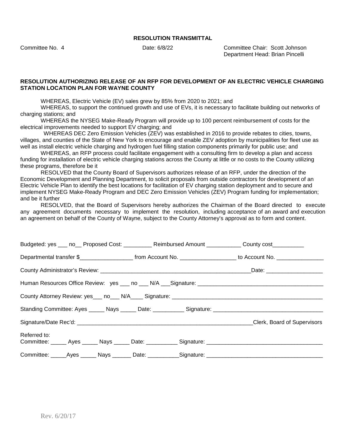Committee No. 4 Date: 6/8/22 Committee Chair: Scott Johnson Department Head: Brian Pincelli

#### **RESOLUTION AUTHORIZING RELEASE OF AN RFP FOR DEVELOPMENT OF AN ELECTRIC VEHICLE CHARGING STATION LOCATION PLAN FOR WAYNE COUNTY**

WHEREAS, Electric Vehicle (EV) sales grew by 85% from 2020 to 2021; and

WHEREAS, to support the continued growth and use of EVs, it is necessary to facilitate building out networks of charging stations; and

WHEREAS the NYSEG Make-Ready Program will provide up to 100 percent reimbursement of costs for the electrical improvements needed to support EV charging; and

 WHEREAS DEC Zero Emission Vehicles (ZEV) was established in 2016 to provide rebates to cities, towns, villages, and counties of the State of New York to encourage and enable ZEV adoption by municipalities for fleet use as well as install electric vehicle charging and hydrogen fuel filling station components primarily for public use; and

WHEREAS, an RFP process could facilitate engagement with a consulting firm to develop a plan and access funding for installation of electric vehicle charging stations across the County at little or no costs to the County utilizing these programs, therefore be it

RESOLVED that the County Board of Supervisors authorizes release of an RFP, under the direction of the Economic Development and Planning Department, to solicit proposals from outside contractors for development of an Electric Vehicle Plan to identify the best locations for facilitation of EV charging station deployment and to secure and implement NYSEG Make-Ready Program and DEC Zero Emission Vehicles (ZEV) Program funding for implementation; and be it further

RESOLVED, that the Board of Supervisors hereby authorizes the Chairman of the Board directed to execute any agreement documents necessary to implement the resolution, including acceptance of an award and execution an agreement on behalf of the County of Wayne, subject to the County Attorney's approval as to form and content.

| Budgeted: yes ___ no__ Proposed Cost: _________ Reimbursed Amount __________ County cost_________                   |  |  |                             |
|---------------------------------------------------------------------------------------------------------------------|--|--|-----------------------------|
|                                                                                                                     |  |  |                             |
|                                                                                                                     |  |  |                             |
| Human Resources Office Review: yes ___ no ___ N/A ___ Signature: ___________________________________                |  |  |                             |
|                                                                                                                     |  |  |                             |
| Standing Committee: Ayes ______ Nays ______ Date: ___________ Signature: __________________________                 |  |  |                             |
|                                                                                                                     |  |  | Clerk, Board of Supervisors |
| Referred to:<br>Committee: ______ Ayes ______ Nays ______ Date: ___________ Signature: ____________________________ |  |  |                             |
| Committee: _____Ayes ______ Nays _______ Date: ___________Signature: ______________________________                 |  |  |                             |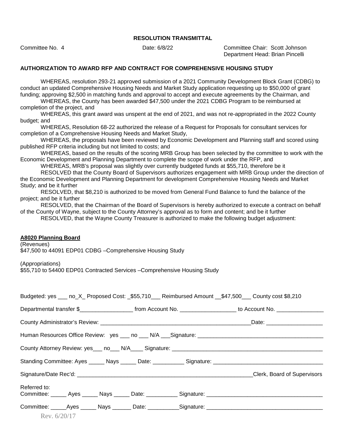Committee No. 4 Date: 6/8/22 Committee Chair: Scott Johnson Department Head: Brian Pincelli

#### **AUTHORIZATION TO AWARD RFP AND CONTRACT FOR COMPREHENSIVE HOUSING STUDY**

WHEREAS, resolution 293-21 approved submission of a 2021 Community Development Block Grant (CDBG) to conduct an updated Comprehensive Housing Needs and Market Study application requesting up to \$50,000 of grant funding; approving \$2,500 in matching funds and approval to accept and execute agreements by the Chairman, and

WHEREAS, the County has been awarded \$47,500 under the 2021 CDBG Program to be reimbursed at completion of the project, and

WHEREAS, this grant award was unspent at the end of 2021, and was not re-appropriated in the 2022 County budget; and

WHEREAS, Resolution 68-22 authorized the release of a Request for Proposals for consultant services for completion of a Comprehensive Housing Needs and Market Study,

WHEREAS, the proposals have been reviewed by Economic Development and Planning staff and scored using published RFP criteria including but not limited to costs; and

WHEREAS, based on the results of the scoring MRB Group has been selected by the committee to work with the Economic Development and Planning Department to complete the scope of work under the RFP, and

WHEREAS, MRB's proposal was slightly over currently budgeted funds at \$55,710, therefore be it

RESOLVED that the County Board of Supervisors authorizes engagement with MRB Group under the direction of the Economic Development and Planning Department for development Comprehensive Housing Needs and Market Study; and be it further

RESOLVED, that \$8,210 is authorized to be moved from General Fund Balance to fund the balance of the project; and be it further

RESOLVED, that the Chairman of the Board of Supervisors is hereby authorized to execute a contract on behalf of the County of Wayne, subject to the County Attorney's approval as to form and content; and be it further

RESOLVED, that the Wayne County Treasurer is authorized to make the following budget adjustment:

#### **A8020 Planning Board**

(Revenues)

\$47,500 to 44091 EDP01 CDBG –Comprehensive Housing Study

(Appropriations)

\$55,710 to 54400 EDP01 Contracted Services –Comprehensive Housing Study

|              |                |  | Budgeted: yes ___ no_X_ Proposed Cost: _\$55,710___ Reimbursed Amount __\$47,500___ County cost \$8,210                                  |                             |  |
|--------------|----------------|--|------------------------------------------------------------------------------------------------------------------------------------------|-----------------------------|--|
|              |                |  | Departmental transfer \$________________________________from Account No. ____________________________ to Account No. ___________________ |                             |  |
|              |                |  |                                                                                                                                          |                             |  |
|              |                |  |                                                                                                                                          |                             |  |
|              |                |  |                                                                                                                                          |                             |  |
|              |                |  |                                                                                                                                          |                             |  |
|              |                |  |                                                                                                                                          | Clerk, Board of Supervisors |  |
| Referred to: |                |  |                                                                                                                                          |                             |  |
|              |                |  |                                                                                                                                          |                             |  |
|              |                |  |                                                                                                                                          |                             |  |
|              | Rev. $6/20/17$ |  |                                                                                                                                          |                             |  |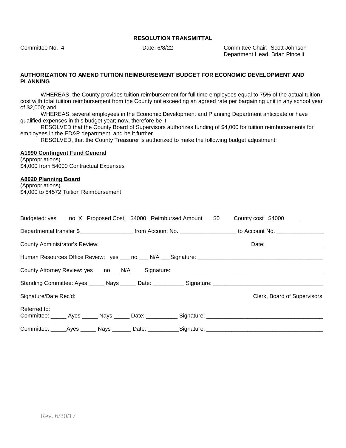Committee No. 4 Date: 6/8/22 Committee Chair: Scott Johnson Department Head: Brian Pincelli

#### **AUTHORIZATION TO AMEND TUITION REIMBURSEMENT BUDGET FOR ECONOMIC DEVELOPMENT AND PLANNING**

WHEREAS, the County provides tuition reimbursement for full time employees equal to 75% of the actual tuition cost with total tuition reimbursement from the County not exceeding an agreed rate per bargaining unit in any school year of \$2,000; and

WHEREAS, several employees in the Economic Development and Planning Department anticipate or have qualified expenses in this budget year; now, therefore be it

RESOLVED that the County Board of Supervisors authorizes funding of \$4,000 for tuition reimbursements for employees in the ED&P department; and be it further

RESOLVED, that the County Treasurer is authorized to make the following budget adjustment:

#### **A1990 Contingent Fund General**

(Appropriations) \$4,000 from 54000 Contractual Expenses

# **A8020 Planning Board**

(Appropriations) \$4,000 to 54572 Tuition Reimbursement

|                                                                                                      |  |  |                                                                                                                       | Budgeted: yes ___ no_X_ Proposed Cost: _\$4000_ Reimbursed Amount ___\$0____ County cost_\$4000_____ |
|------------------------------------------------------------------------------------------------------|--|--|-----------------------------------------------------------------------------------------------------------------------|------------------------------------------------------------------------------------------------------|
|                                                                                                      |  |  | Departmental transfer \$________________________ from Account No. ____________________ to Account No. _______________ |                                                                                                      |
|                                                                                                      |  |  |                                                                                                                       |                                                                                                      |
|                                                                                                      |  |  |                                                                                                                       |                                                                                                      |
|                                                                                                      |  |  |                                                                                                                       |                                                                                                      |
|                                                                                                      |  |  |                                                                                                                       | Standing Committee: Ayes ______ Nays ______ Date: ___________ Signature: ___________________________ |
|                                                                                                      |  |  |                                                                                                                       | Clerk, Board of Supervisors                                                                          |
| Referred to:                                                                                         |  |  |                                                                                                                       |                                                                                                      |
| Committee: ______Ayes _______ Nays ________ Date: ____________Signature: ___________________________ |  |  |                                                                                                                       |                                                                                                      |